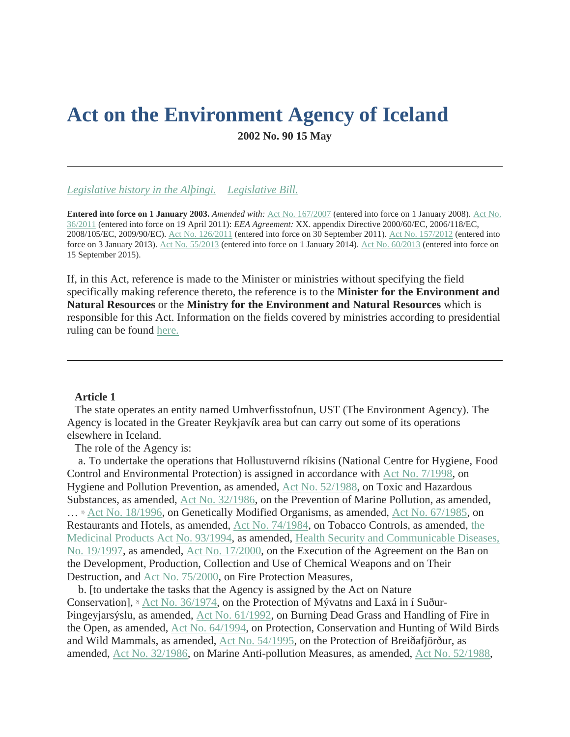# **Act on the Environment Agency of Iceland 2002 No. 90 15 May**

*[Legislative history in the Alþingi.](http://www.althingi.is/dba-bin/ferill.pl?ltg=127&mnr=711) [Legislative Bill.](http://www.althingi.is/altext/127/s/1170.html)*

**Entered into force on 1 January 2003.** *Amended with:* [Act No. 167/2007](https://www.althingi.is/altext/stjt/2007.167.html) (entered into force on 1 January 2008). [Act No.](https://www.althingi.is/altext/stjt/2011.036.html)  [36/2011](https://www.althingi.is/altext/stjt/2011.036.html) (entered into force on 19 April 2011): *EEA Agreement:* XX. appendix Directive 2000/60/EC, 2006/118/EC, 2008/105/EC, 2009/90/EC). [Act No. 126/2011](https://www.althingi.is/altext/stjt/2011.126.html) (entered into force on 30 September 2011). [Act No. 157/2012](https://www.althingi.is/altext/stjt/2012.157.html) (entered into force on 3 January 2013). [Act No. 55/2013](https://www.althingi.is/altext/stjt/2013.055.html) (entered into force on 1 January 2014). [Act No. 60/2013](https://www.althingi.is/altext/stjt/2013.060.html) (entered into force on 15 September 2015).

If, in this Act, reference is made to the Minister or ministries without specifying the field specifically making reference thereto, the reference is to the **Minister for the Environment and Natural Resources** or the **Ministry for the Environment and Natural Resources** which is responsible for this Act. Information on the fields covered by ministries according to presidential ruling can be found [here.](https://www.althingi.is/lagas/nuna/2018119.html)

### **Article 1**

The state operates an entity named Umhverfisstofnun, UST (The Environment Agency). The Agency is located in the Greater Reykjavík area but can carry out some of its operations elsewhere in Iceland.

The role of the Agency is:

 a. To undertake the operations that Hollustuvernd ríkisins (National Centre for Hygiene, Food Control and Environmental Protection) is assigned in accordance with [Act No. 7/1998,](https://www.althingi.is/lagas/nuna/1998007.html) on Hygiene and Pollution Prevention, as amended, [Act No. 52/1988,](https://www.althingi.is/lagas/nuna/1988052.html) on Toxic and Hazardous Substances, as amended, [Act No. 32/1986,](https://www.althingi.is/lagas/nuna/1986032.html) on the Prevention of Marine Pollution, as amended, … 1) [Act No. 18/1996,](https://www.althingi.is/lagas/nuna/1996018.html) on Genetically Modified Organisms, as amended, [Act No. 67/1985,](https://www.althingi.is/lagas/nuna/1985067.html) on Restaurants and Hotels, as amended, [Act No. 74/1984,](https://www.althingi.is/lagas/nuna/1984074.html) on Tobacco Controls, as amended, [the](https://www.althingi.is/lagas/nuna/1994093.html)  [Medicinal Products Act No. 93/1994,](https://www.althingi.is/lagas/nuna/1994093.html) as amended, [Health Security and Communicable Diseases,](https://www.althingi.is/lagas/nuna/1997019.html)  [No. 19/1997,](https://www.althingi.is/lagas/nuna/1997019.html) as amended, [Act No. 17/2000,](https://www.althingi.is/lagas/nuna/2000017.html) on the Execution of the Agreement on the Ban on the Development, Production, Collection and Use of Chemical Weapons and on Their Destruction, and [Act No. 75/2000,](https://www.althingi.is/lagas/nuna/2000075.html) on Fire Protection Measures,

 b. [to undertake the tasks that the Agency is assigned by the Act on Nature Conservation], <sup>2</sup> [Act No. 36/1974,](https://www.althingi.is/lagas/nuna/1974036.html) on the Protection of Mývatns and Laxá in í Suður-Þingeyjarsýslu, as amended, [Act No. 61/1992,](https://www.althingi.is/lagas/nuna/1992061.html) on Burning Dead Grass and Handling of Fire in the Open, as amended, [Act No. 64/1994,](https://www.althingi.is/lagas/nuna/1994064.html) on Protection, Conservation and Hunting of Wild Birds and Wild Mammals, as amended, [Act No. 54/1995,](https://www.althingi.is/lagas/nuna/1995054.html) on the Protection of Breiðafjörður, as amended, [Act No. 32/1986,](https://www.althingi.is/lagas/nuna/1986032.html) on Marine Anti-pollution Measures, as amended, [Act No. 52/1988,](https://www.althingi.is/lagas/nuna/1988052.html)